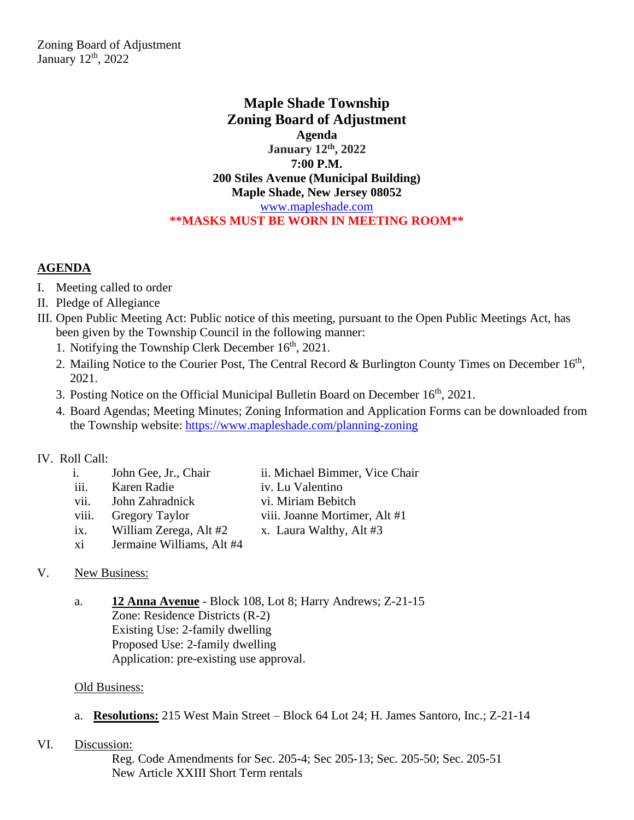Zoning Board of Adjustment January  $12<sup>th</sup>$ , 2022

> **Maple Shade Township Zoning Board of Adjustment Agenda January 12th, 2022 7:00 P.M. 200 Stiles Avenue (Municipal Building) Maple Shade, New Jersey 08052** [www.mapleshade.com](http://www.mapleshade.com/) **\*\*MASKS MUST BE WORN IN MEETING ROOM\*\***

## **AGENDA**

- I. Meeting called to order
- II. Pledge of Allegiance
- III. Open Public Meeting Act: Public notice of this meeting, pursuant to the Open Public Meetings Act, has been given by the Township Council in the following manner:
	- 1. Notifying the Township Clerk December 16<sup>th</sup>, 2021.
	- 2. Mailing Notice to the Courier Post, The Central Record & Burlington County Times on December 16<sup>th</sup>, 2021.
	- 3. Posting Notice on the Official Municipal Bulletin Board on December 16<sup>th</sup>, 2021.
	- 4. Board Agendas; Meeting Minutes; Zoning Information and Application Forms can be downloaded from the Township website:<https://www.mapleshade.com/planning-zoning>

## IV. Roll Call:

| $\mathbf{i}$ . | John Gee, Jr., Chair      | ii. Michael Bimmer, Vice Chair |
|----------------|---------------------------|--------------------------------|
| iii.           | Karen Radie               | iv. Lu Valentino               |
| vii.           | John Zahradnick           | vi. Miriam Bebitch             |
| viii.          | <b>Gregory Taylor</b>     | viii. Joanne Mortimer, Alt #1  |
| ix.            | William Zerega, Alt #2    | x. Laura Walthy, Alt #3        |
| xi             | Jermaine Williams, Alt #4 |                                |

## V. New Business:

a. **12 Anna Avenue** - Block 108, Lot 8; Harry Andrews; Z-21-15 Zone: Residence Districts (R-2) Existing Use: 2-family dwelling Proposed Use: 2-family dwelling Application: pre-existing use approval.

## Old Business:

- a. **Resolutions:** 215 West Main Street Block 64 Lot 24; H. James Santoro, Inc.; Z-21-14
- VI. Discussion:

Reg. Code Amendments for Sec. 205-4; Sec 205-13; Sec. 205-50; Sec. 205-51 New Article XXIII Short Term rentals